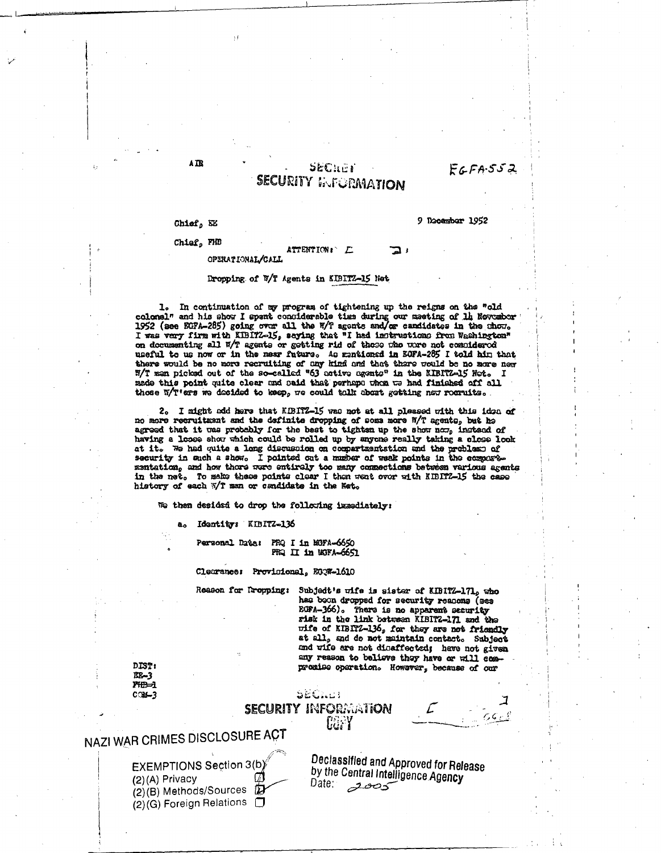## $EGFA-552$

### SECHER **SECURITY INFORMATION**

ATTENTION: E

Chiof, NE

#### 9 Docember 1952

## Chief, FHD

#### OPERATIONAL/CALL

#### Dropping of W/T Agents in KIBITZ-15 Net

In continuation of my program of tightening up the reigns on the "old  $\mathbf{1}_{\bullet}$ colonel" and his show I spant considerable time during our maeting of 1h November 1952 (see EGPA-285) going over all the E/T agents and/or candidates in the chore on documenting all W/T agents or getting rid of these the ware not compidered useful to us now or in the near future. As maniformed in BOFA-285 I told him that there would be no more recruiting of any kind and that there would be no more new W/T man picked out of the so-called "63 cetive agents" in the KIBITZ-15 Net. I made this point quite clear and said that perhaps whom we had finished off all those W/T'ers we decided to keep, we could talk about getting new rournits.

2. I might add here that KIBITZ-15 was not at all pleased with this idea of no more recruitment and the definite dropping of some more W/T agents, but he agreed that it was probably for the best to tighten up the show now, instead of having a loose show which could be rolled up by anyone really taking a close look at it. We had quite a long discussion on compartmentation and the problems of security in such a show. I pointed out a musher of weak points in the composementation, and how thore were entirely too many connections between various agents in the net. To make these points clear I then went over with KIBITZ-15 the case history of each W/T man or candidate in the Net.

We then desided to drop the following immediately:

Identity: KIBITZ-136 a.

> Personal Date: PRQ I in MGFA-6650 PRQ II in MOFA-6651

Clemance: Provisional, E00W-1610

Reason for Dropping: Subject's wife is sister of KIBITZ-171, who has been dropped for security reanons (see ECFA-366). There is no apparent security risk in the link between KIBITZ-171 and the wife of KIBITZ-136, for they are not friendly at all, and do not maintain contact. Subject and wife are not disaffected; have not given any reason to believe they have or will compromise operation. However, because of our

J

| <b>DIST:</b> |
|--------------|
| ISB-3        |
| 70B-i        |
| COM-3        |

(2) (G) Foreign Relations  $\Box$ 

| .<br>COM-3                                                            | SECTOR |                                                                                      |  |
|-----------------------------------------------------------------------|--------|--------------------------------------------------------------------------------------|--|
|                                                                       |        | <b>SECURITY INFORMATION</b><br>tary                                                  |  |
| NAZI WAR CRIMES DISCLOSURE ACT                                        |        |                                                                                      |  |
| EXEMPTIONS Section 3(b)<br>$(2)(A)$ Privacy<br>(2)(B) Methods/Sources |        | Declassified and Approved for Release<br>by the Central Intelligence Agency<br>Date. |  |

A TR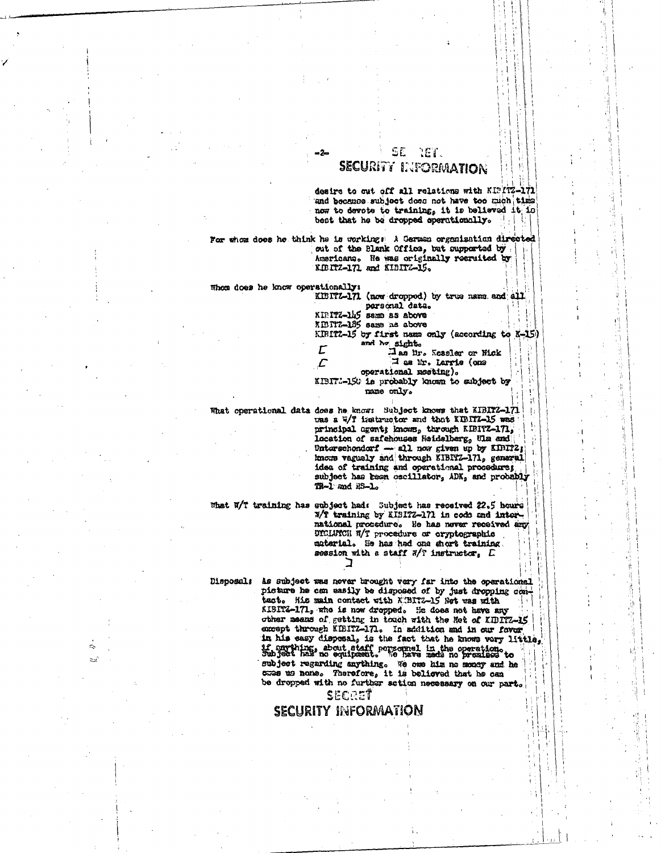### SE NET. SECURITY INFORMATION

desire to out off all relations with KIPITZ-171 and because subject does not have too mich time now to devote to training, it is believed it is best that he be dropped operationally.

For whom does he think he is workings a German organisation directed out of the Blank Office, but supported by Americano. He was originally recruited by KIBITZ-171 and KIBITZ-15.

Whom does he know operationally: KISITZ-171 (now dropped) by true name and all

personal data. KIRITZ-145 seme as above KENTZ-185 same as above KIBITZ-15 by first name only (according to K-15) and he sight. Tassler or Mck  $\mathcal{L}$ I as Er. Larris (one  $\mathcal{L}$ operational mosting).

KIBIT:-150 is probably known to subject by name only.

What operational dats does he know: Subject knows that KIBIT2-171

tras a W/T instancetor and that KIBITZ-15 was principal agents knows, through KIBITZ-171, location of safehouses Heidelberg, Ula and Unterschenderf - all now given up by KIRITZ; knows vaguely and through KIBITZ-171, general idea of training and operational procedures subject has been oscillator, ADK, and probably TR-1 and HS-1.

What W/T training has subject had: Subject has received 22.5 hours 7/T training by EIBITZ-171 in code and international procedure. He has never received any DICLUICH W/T procedure or oryptographic material. He has had one short training. session with a staff #/? instructor, E

Disposals As subject was never brought very far into the operational picture he can easily be disposed of by just dropping contact. His main contact with KIBITZ-15 Net was with KISITZ-171, who is now dropped. He does not have any other means of getting in touch with the Net of KIBITZ-15 except through KIBITZ-171. In addition and in our favor in his easy disposal, is the fact that he knows very little, subject regarding anything. We one him no monoy and he case us none. Therefore, it is believed that he can be dropped with no further sotion necessary on our part.

SECRET

#### **SECURITY INFORMATION**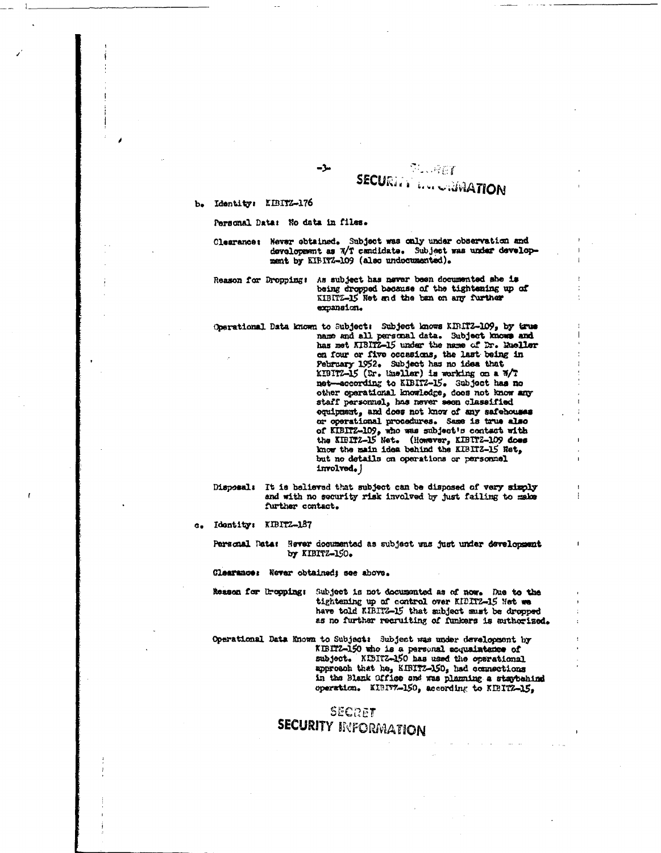## $71.967$ **SECURITY LOCATION**

#### **b. Identity: KIBrf7.'..176**

Personal Data: Ho data in files.

 $-3$ 

**Clearances Never obtained. Subject was only under observation and** development as W/T candidate. Subject *was* **under develop**ment *by* KIBITZ-109 (also undocumented).

Reason for Droppings As subject has never been **documented she** *is* being dropped because of the **tightening up of** KIBITZ-15 Net and the ban on any further expansion.

Cperational Data known to Subjects Subject knows **unrrz-Io9,** by true name and all personal data. Subject knows and has net KIBITZ-15 **under** the name of Dr. Healer on four or five occasions, **the last being in February** 1952. Subject has no **idea** that XIBITZ-15 (Dr. thielles) *is* **eurkim** an a 1/7 net--according to EZITZ-15. Subject has no other operational knowledge, does not know any staff personnel, has never **seen classified** equipment, and does not know of any safehouses or operational procedures. Same is true **also** of KIBITZ-109, who vas subject's contact with the minz-15 Net. (However, KIBITZ-109 **does** know the main idea behind the KIBITZ-15 Ret, but no details on operations *or* personnel involved.)

Disposals It is believed that subject can be disposed of **very simply** and with no security risk involved by just failing to make further contact.

a. Idontitys KIDITZ-laT

Personal Dates Rover doounented as subject was just under **development by KIBITZ-3O.**

**Clearances** *Newer* **Obtained; see above.**

**Reason for th**•**opping:** Subject is not docueented as of now. Due **to the** tightening up of control **over** KIDITZ45 Net we have told KIBITZ-15 that subject must be dropped *as* no further recruiting of rankers *is* authorized.

Operational Data Known to Subject: Subject was under development by KIBITZ-150 who is a personal ecomintatice of subject. KIBITZ-150 has used the operational approach that ha, KI1ITZ-150, bed connections **in** the )lank arriaa and Was *planning* a stgybehind operation. KISIV7-150, according to KIBITZ-15,

## SECRET **SECURITY INFORMATION**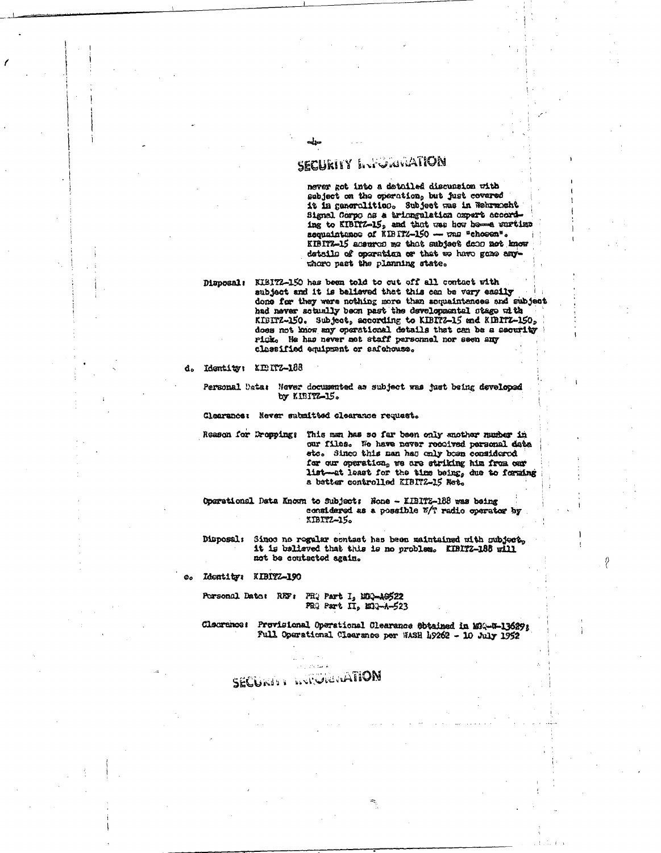## SECURITY Introduction

never got into a detailed discussion with subject on the operation, but just covered it in generalities. Subject was in Wehrmacht Signal Corpo as a triungulation oxpert according to KIBITZ-15, and that was how home wartime sequaintance of KIBITZ-150 - was "chosen". KIBITZ-15 accurate me that subject door not know details of operation or that we have gone anythoro past the planning state.

Disposal: KIBI72-150 has been told to cut off all contact with subject and it is believed that this can be very easily done for they were nothing more than sequaintances and subject had never sotually been past the developmental stage with KIBITZ-150. Subject, according to KIBITZ-15 and KIBITZ-150, does not know any operational details that can be a security rick. He has never met staff parsonnel nor seen any classified equipment or safehouse.

d. Identity: KENTZ-188

Personal Usta: Never documented as subject was just being developed by KIBITZ-15.

Clearance: Never submitted clearance request.

Reason for Dropping: This man has so far been only enother number in our files. We have never recolved personal data etc. Since this man has only been considered for our operation, we are striking him from our list-at least for the time being, due to forming a better controlled EIBIT2-15 Net.

Oparational Data Known to Subject; Hone - KIBITZ-188 was being considered as a possible %/? radio operator by XIBITZ-15.

Disposal: Since no regular contact has been maintained with mubject, it is believed that this is no problem. KIRITZ-188 will not be contacted again.

Ldontity: KIBITZ-190 60

> Porsonal Dato: REF: PRQ Part I, EDQ-A0522 PRO Part II, EDG-A-523

Cleuranos: Previsional Operational Clearance Sotained in MA-N-13629; Full Operational Clearance per WASH 19262 - 10 July 1952

# SECURITY LIVINGRIMATION